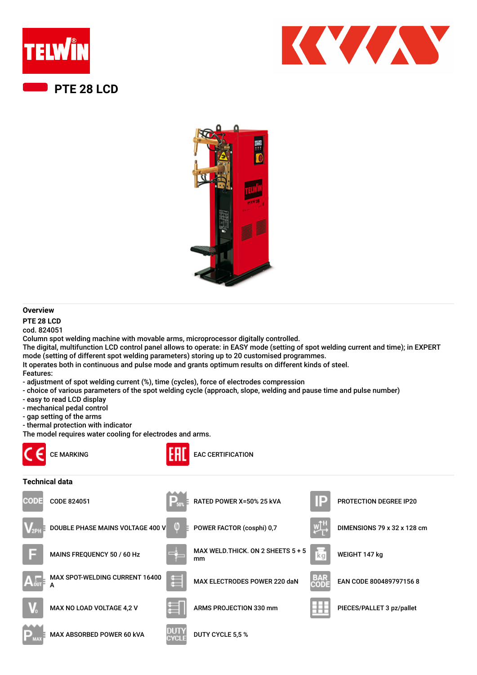





## **Overview**

## **PTE 28 LCD**

cod. 824051

Column spot welding machine with movable arms, microprocessor digitally controlled.

The digital, multifunction LCD control panel allows to operate: in EASY mode (setting of spot welding current and time); in EXPERT mode (setting of different spot welding parameters) storing up to 20 customised programmes.

It operates both in continuous and pulse mode and grants optimum results on different kinds of steel.

Features:

- adjustment of spot welding current (%), time (cycles), force of electrodes compression
- choice of various parameters of the spot welding cycle (approach, slope, welding and pause time and pulse number)
- easy to read LCD display
- mechanical pedal control
- gap setting of the arms
- thermal protection with indicator
- The model requires water cooling for electrodes and arms.





## CE MARKING **EXAMPLE ACCERTIFICATION**

## **Technical data**